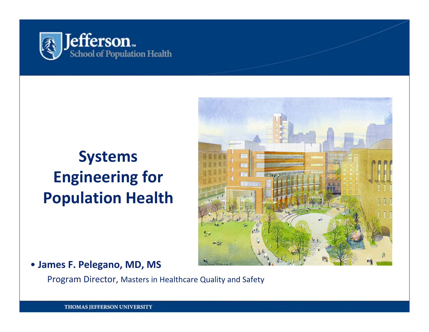

### **Systems Engineering for Population Health**



### • **James F. Pelegano, MD, MS**

Program Director, Masters in Healthcare Quality and Safety

THOMAS JEFFERSON UNIVERSITY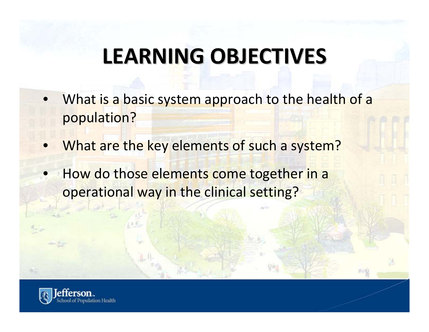# **LEARNING LEARNING OBJECTIVES OBJECTIVES**

- What is a basic system approach to the health of <sup>a</sup> population?
- What are the key elements of such <sup>a</sup> system?
- How do those elements come together in <sup>a</sup> operational way in the clinical setting?

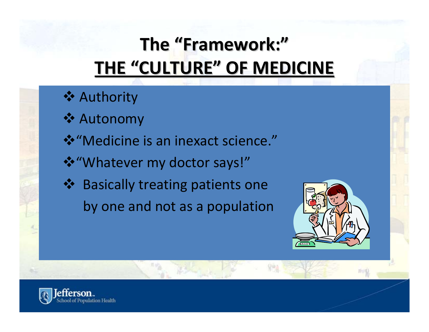### **The "Framework: Framework:" THE "CULTURE CULTURE" OF MEDICINE MEDICINE**

### **❖ Authority**

- **❖ Autonomy**
- "Medicine is an inexact science."
- "Whatever my doctor says!"
- ❖ Basically treating patients one by one and not as <sup>a</sup> population



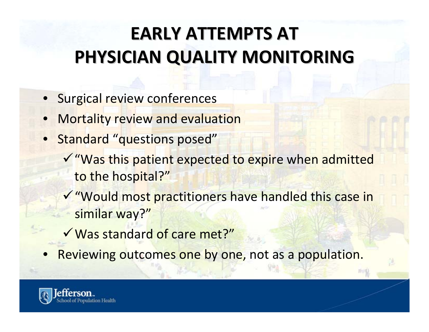### **EARLY ATTEMPTS ATTEMPTS AT PHYSICIAN PHYSICIAN QUALITY QUALITY MONITORING MONITORING**

- Surgical review conferences
- **Mortality review and evaluation**
- **Standard "questions posed"** 
	- √ "Was this patient expected to expire when admitted to the hospital?"
	- 9"Would most practitioners have handled this case in similar way?"
	- √ Was standard of care met?"
- Reviewing outcomes one by one, not as a population.

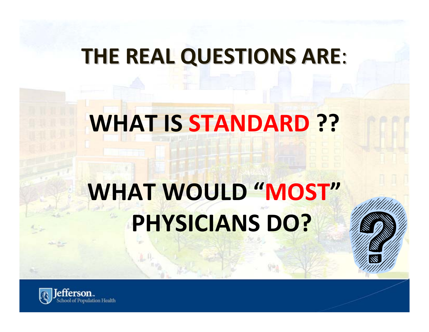### **THE REAL QUESTIONS QUESTIONS ARE**:

# **WHAT IS STANDARD ??**

# **WHAT WOULD "MOST" PHYSICIANS DO?**

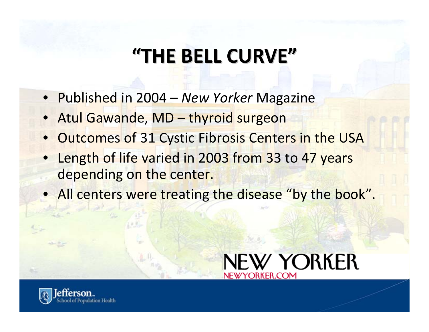### **"THE BELL CURVE"**

- Published in 2004 *New Yorker* Magazine
- Atul Gawande, MD thyroid surgeon
- Outcomes of 31 Cystic Fibrosis Centers in the USA
- Length of life varied in 2003 from 33 to 47 years depending on the center.
- All centers were treating the disease "by the book".



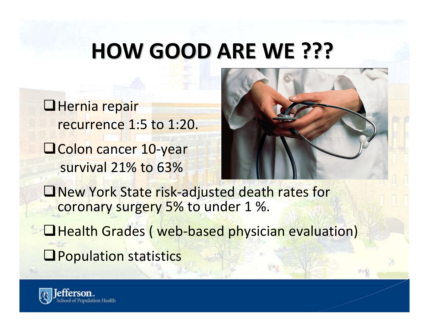### **HOW GOOD ARE WE ???**

 $\Box$ Hernia repair recurrence 1:5 to 1:20. Colon cancer 10‐year survival 21% to 63%



New York State risk‐adjusted death rates for coronary surgery 5% to under 1 %.

**□ Health Grades ( web-based physician evaluation) O** Population statistics

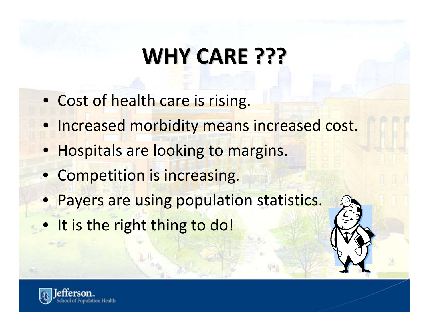# **WHY CARE ???**

- Cost of health care is rising.
- Increased morbidity means increased cost.
- Hospitals are looking to margins.
- Competition is increasing.
- Payers are using population statistics.
- It is the right thing to do!

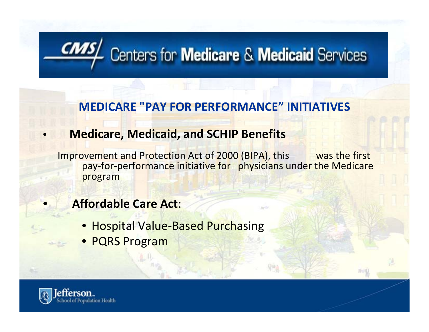# **CNAS** Centers for **Medicare & Medicaid** Services

### **MEDICARE "PAY FOR PERFORMANCE" INITIATIVES**

### • **Medicare, Medicaid, and SCHIP Benefits**

Improvement and Protection Act of 2000 (BIPA), this was the first pay-for-performance initiative for physicians under the Medicare program

### • **Affordable Care Act**:

- Hospital Value-Based Purchasing
- PQRS Program

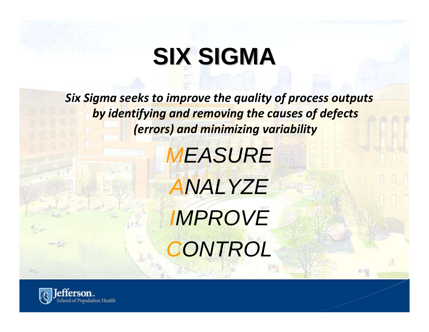# **SIX SIGMA SIX SIGMA**

*Six Sigma seeks to improve the quality of process outputs by identifying and removing the causes of defects (errors) and minimizing variability*

> *MEASURE ANALYZE IMPROVE CONTROL*

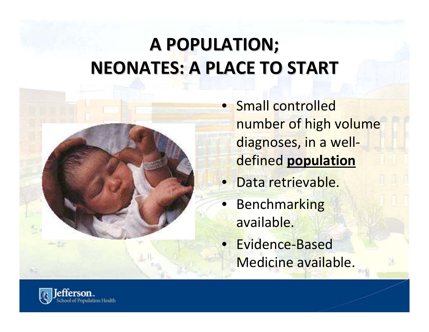### **A POPULATION; POPULATION; NEONATES: NEONATES: A PLACE TO START**



• Small controlled number of high volume diagnoses, in <sup>a</sup> well‐ defined **population**

- Data retrievable.
- **Benchmarking** available.
- Evidence-Based Medicine available.

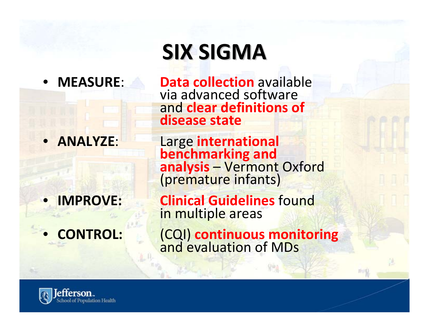### • **MEASURE:**

• **ANALYZE**:

- 
- 

# **SIX SIGMA**

 **collection** available via advanced software and **clear definitions of disease state**

Large **international benchmarking and analysis** – Vermont Oxford (premature infants)

• **IMPROVE: Clinical Guidelines** found i<mark>n multiple ar</mark>eas

• **CONTROL:** (CQI) **continuous monitoring** and evaluation of MDs

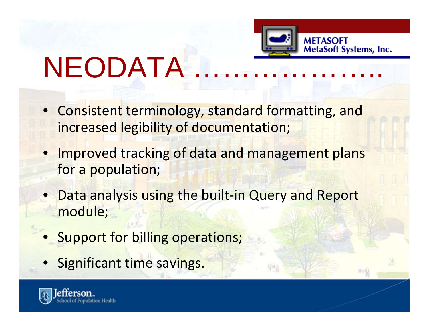

# **NEODATA**

- Consistent terminology, standard formatting, and increased legibility of documentation;
- Improved tracking of data and management plans for a population;
- **Data analysis using the built-in Query and Report** module;
- **Support for billing operations;**
- Significant time savings.

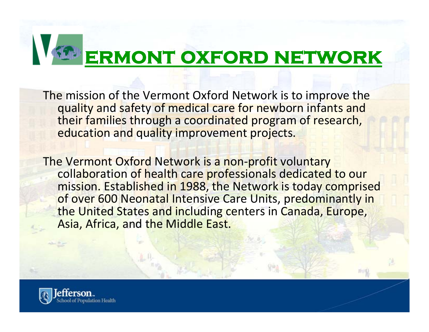# **ermont oxford network**

The mission of the Vermont Oxford Network is to improve the quality and safety of medical care for newborn infants and their families through <sup>a</sup> coordinated program of research, education and quality improvement projects.

The Vermont Oxford Network is <sup>a</sup> non‐profit voluntary collaboration of health care professionals dedicated to our mission. Established in 1988, the Network is today comprised of over 600 Neonatal Intensive Care Units, predominantly in the United States and including centers in Canada, Europe, Asia, Africa, and the Middle East.

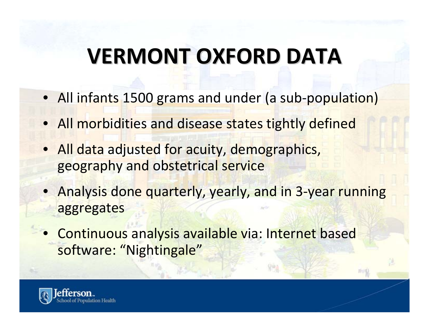# **VERMONT VERMONT OXFORD DATA**

- All infants 1500 grams and under (a sub‐population)
- All morbidities and disease states tightly defined
- All data adjusted for acuity, demographics, geography and obstetrical service
- Analysis done quarterly, yearly, and in 3-year running aggregates
- Continuous analysis available via: Internet based software: "Nightingale"

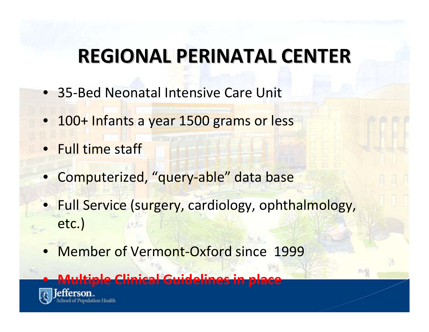### **REGIONAL REGIONAL PERINATAL PERINATAL CENTER**

- 35-Bed Neonatal Intensive Care Unit
- 100+ Infants <sup>a</sup> year 1500 grams or less
- Full time staff
- Computerized, "query‐able" data base
- Full Service (surgery, cardiology, ophthalmology, etc.)
- Member of Vermont‐Oxford since 1999

### • **Multiple Clinical Guidelines in place**

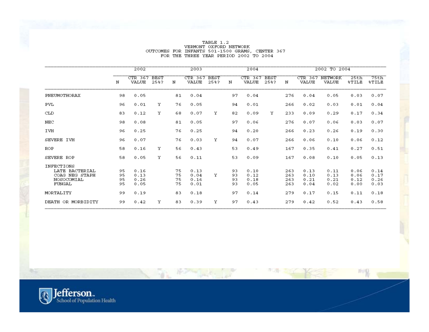#### TABLE 1.2 VERMONT OXFORD NETWORK<br>OUTCOMES FOR INFANTS 501-1500 GRAMS, CENTER 367 FOR THE THREE YEAR PERIOD 2002 TO 2004

|                                                                        |                      | 2002                         |                     |                      | 2003                         |                     |                      | 2004                         |                     |                          |                              | 2002 TO 2004                 |                              |                              |
|------------------------------------------------------------------------|----------------------|------------------------------|---------------------|----------------------|------------------------------|---------------------|----------------------|------------------------------|---------------------|--------------------------|------------------------------|------------------------------|------------------------------|------------------------------|
|                                                                        | N                    | CTR 367<br>VALUE             | <b>BEST</b><br>25%? | N                    | CTR 367<br>VALUE             | <b>BEST</b><br>25%? | N                    | CTR 367<br>VALUE             | <b>BEST</b><br>25%? | N                        | CTR 367<br><b>VALUE</b>      | NETWORK<br>VALUE             | 25th<br><b>%TILE</b>         | 75th<br>\$TILE               |
| PNEUMOTHORAX                                                           | 98                   | 0.05                         |                     | 81                   | 0.04                         |                     | 97                   | 0.04                         |                     | 276                      | 0.04                         | 0.05                         | 0.03                         | 0.07                         |
| PVL                                                                    | 96                   | 0.01                         | Υ                   | 76                   | 0.05                         |                     | 94                   | 0.01                         |                     | 266                      | 0.02                         | 0.03                         | 0.01                         | 0.04                         |
| <b>CLD</b>                                                             | 83                   | 0.12                         | Υ                   | 68                   | 0.07                         | Υ                   | 82                   | 0.09                         | Y                   | 233                      | 0.09                         | 0.29                         | 0.17                         | 0.34                         |
| NEC                                                                    | 98                   | 0.08                         |                     | 81                   | 0.05                         |                     | 97                   | 0.06                         |                     | 276                      | 0.07                         | 0.06                         | 0.03                         | 0.07                         |
| IVH                                                                    | 96                   | 0.25                         |                     | 76                   | 0.25                         |                     | 94                   | 0.20                         |                     | 266                      | 0.23                         | 0.26                         | 0.19                         | 0.30                         |
| SEVERE IVH                                                             | 96                   | 0.07                         |                     | 76                   | 0.03                         | Υ                   | 94                   | 0.07                         |                     | 266                      | 0.06                         | 0.10                         | 0.06                         | 0.12                         |
| ROP                                                                    | 58                   | 0.16                         | Y                   | 56                   | 0.43                         |                     | 53                   | 0.49                         |                     | 167                      | 0.35                         | 0.41                         | 0.27                         | 0.51                         |
| SEVERE ROP                                                             | 58                   | 0.05                         | Y                   | 56                   | 0.11                         |                     | 53                   | 0.09                         |                     | 167                      | 0.08                         | 0.10                         | 0.05                         | 0.13                         |
| INFECTIONS<br>LATE BACTERIAL<br>COAG NEG STAPH<br>NOSOCOMIAL<br>FUNGAL | 95<br>95<br>95<br>95 | 0.16<br>0.13<br>0.26<br>0.05 |                     | 75<br>75<br>75<br>75 | 0.13<br>0.04<br>0.16<br>0.01 | Y                   | 93<br>93<br>93<br>93 | 0.10<br>0.12<br>0.18<br>0.05 |                     | 263<br>263<br>263<br>263 | 0.13<br>0.10<br>0.21<br>0.04 | 0.11<br>0.13<br>0.21<br>0.02 | 0.06<br>0.06<br>0.12<br>0.00 | 0.14<br>0.17<br>0.26<br>0.03 |
| MORTALITY                                                              | 99                   | 0.19                         |                     | 83                   | 0.18                         |                     | 97                   | 0.14                         |                     | 279                      | 0.17                         | 0.15                         | 0.11                         | 0.18                         |
| DEATH OR MORBIDITY                                                     | 99                   | 0.42                         | Υ                   | 83                   | 0.39                         | Υ                   | 97                   | 0.43                         |                     | 279                      | 0.42                         | 0.52                         | 0.43                         | 0.58                         |

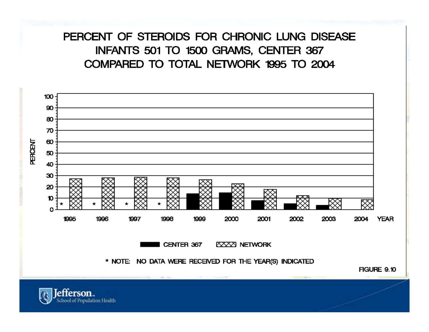### PERCENT OF STEROIDS FOR CHRONIC LUNG DISEASE INFANTS 501 TO 1500 GRAMS, CENTER 367 COMPARED TO TOTAL NETWORK 1995 TO 2004



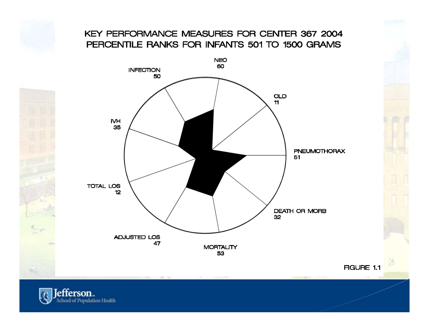### KEY PERFORMANCE MEASURES FOR CENTER 367 2004 PERCENTILE RANKS FOR INFANTS 501 TO 1500 GRAMS



**FIGURE 1.1** 

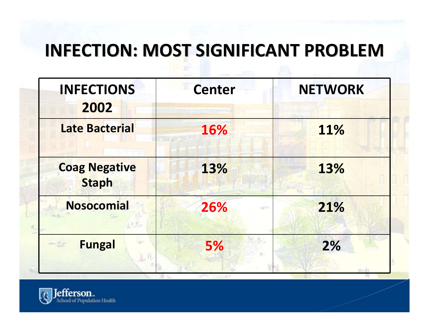### **INFECTION: INFECTION: MOST SIGNIFICANT SIGNIFICANT PROBLEM PROBLEM**

| <b>INFECTIONS</b><br>2002                                                                                                                                                                                                                                                                                                                                                                                    | <b>Center</b> | <b>NETWORK</b> |
|--------------------------------------------------------------------------------------------------------------------------------------------------------------------------------------------------------------------------------------------------------------------------------------------------------------------------------------------------------------------------------------------------------------|---------------|----------------|
| <b>Late Bacterial</b>                                                                                                                                                                                                                                                                                                                                                                                        | 16%           | 11%            |
| <b>Coag Negative</b><br><b>Staph</b>                                                                                                                                                                                                                                                                                                                                                                         | 13%           | 13%            |
| <b>Nosocomial</b>                                                                                                                                                                                                                                                                                                                                                                                            | 26%           | 21%            |
| <b>Fungal</b><br>$\frac{1}{2} \sum_{i=1}^{n} \frac{1}{\left( \sum_{i=1}^{n} \frac{1}{\left( \sum_{i=1}^{n} \frac{1}{\left( \sum_{i=1}^{n} \frac{1}{\left( \sum_{i=1}^{n} \frac{1}{\left( \sum_{i=1}^{n} \frac{1}{\left( \sum_{i=1}^{n} \frac{1}{\left( \sum_{i=1}^{n} \frac{1}{\left( \sum_{i=1}^{n} \frac{1}{\left( \sum_{i=1}^{n} \frac{1}{\left( \sum_{i=1}^{n} \frac{1}{\left( \sum_{i=1}^{n} \frac{1}{$ | 5%            | 2%             |

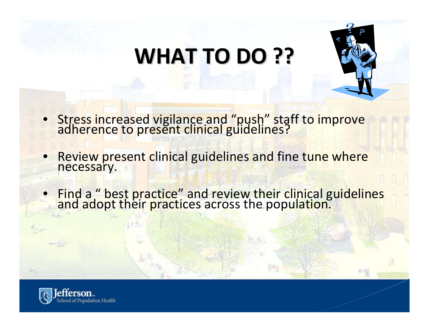# **WHAT TO DO ??**



- Stress increased vigilance and "push" staff to improve<br>adherence to present clinical guidelines?
- Review present clinical guidelines and fine tune where necessary.
- Find <sup>a</sup> " best practice" and review their clinical guidelines and adopt their practices across the population.

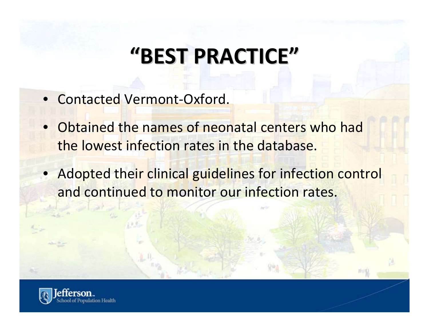## **"BEST PRACTICE PRACTICE"**

- Contacted Vermont-Oxford.
- Obtained the names of neonatal centers who had the lowest infection rates in the database.
- Adopted their clinical guidelines for infection control and continued to monitor our infection rates.

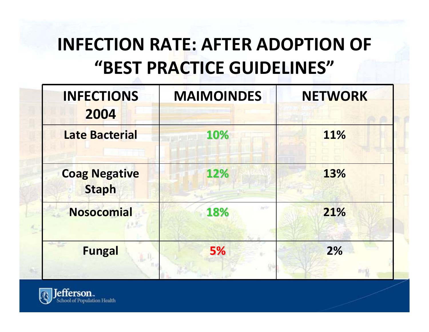### **INFECTION RATE: AFTER ADOPTION OF "BEST PRACTICE GUIDELINES"**

| <b>INFECTIONS</b>                    | <b>MAIMOINDES</b> | <b>NETWORK</b> |
|--------------------------------------|-------------------|----------------|
| 2004<br><b>Late Bacterial</b>        | 10%               | 11%            |
|                                      |                   |                |
| <b>Coag Negative</b><br><b>Staph</b> | 12%               | 13%            |
| <b>Nosocomial</b>                    | 18%               | 21%            |
| <b>Fungal</b>                        | 5%                | 2%             |
|                                      |                   |                |

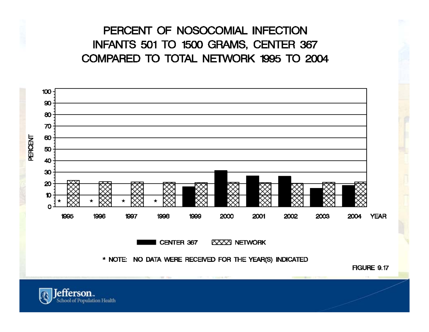### PERCENT OF NOSOCOMIAL INFECTION INFANTS 501 TO 1500 GRAMS, CENTER 367 COMPARED TO TOTAL NETWORK 1995 TO 2004



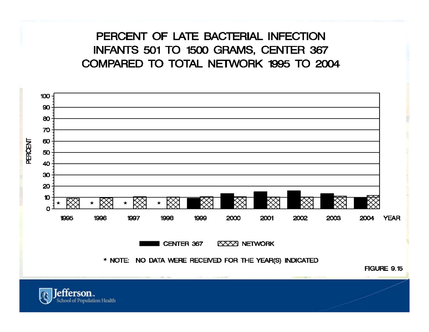### PERCENT OF LATE BACTERIAL INFECTION INFANTS 501 TO 1500 GRAMS, CENTER 367 COMPARED TO TOTAL NETWORK 1995 TO 2004



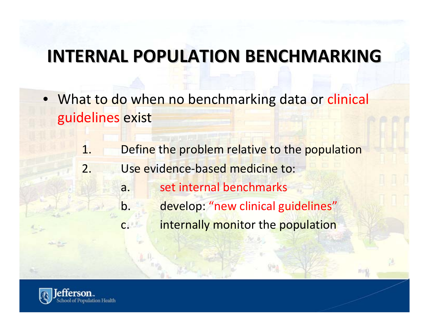### **INTERNAL INTERNAL POPULATION POPULATION BENCHMARKING BENCHMARKING**

- What to do when no benchmarking data or clinical guidelines exist
	- 1.. Define the problem relative to the population
	- 2. Use evidence‐based medicine to:
		- a.set internal benchmarks
		- b.develop: "new clinical guidelines"
		- c.internally monitor the population

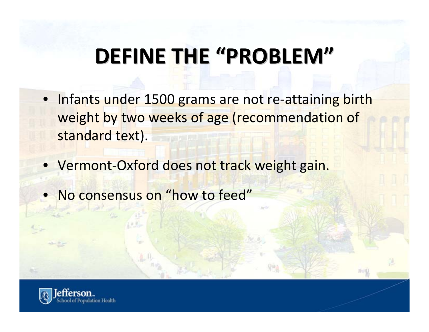# **DEFINE THE "PROBLEM PROBLEM"**

- Infants under 1500 grams are not re-attaining birth weight by two weeks of age (recommendation of standard text).
- Vermont‐Oxford does not track weight gain.
- No consensus on "how to feed"

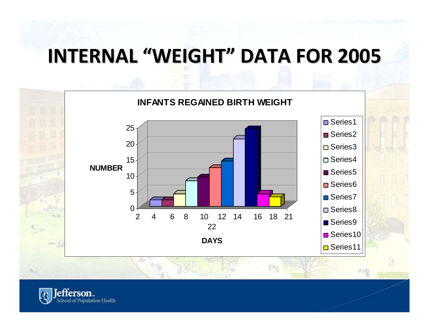### **INTERNAL INTERNAL "WEIGHT" DATA FOR 2005**



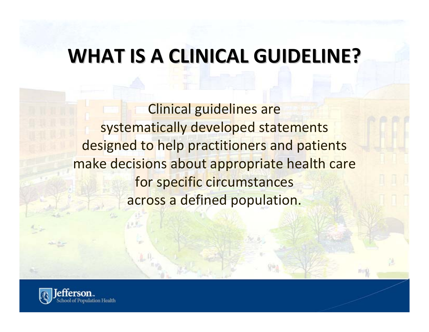### **WHAT IS A CLINICAL CLINICAL GUIDELINE? GUIDELINE?**

Clinical guidelines are systematically developed statements designed to help practitioners and patients make decisions about appropriate health care for specific circumstances across a defined population.

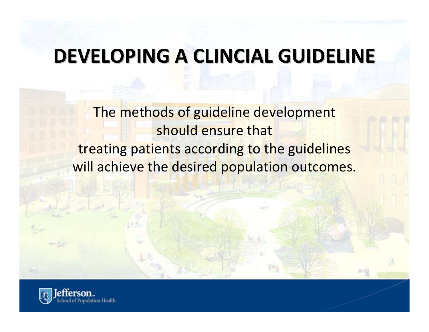### **DEVELOPING DEVELOPING A CLINCIAL CLINCIAL GUIDELINE GUIDELINE**

The methods of guideline development should ensure that treating patients according to the guidelines will achieve the desired population outcomes.

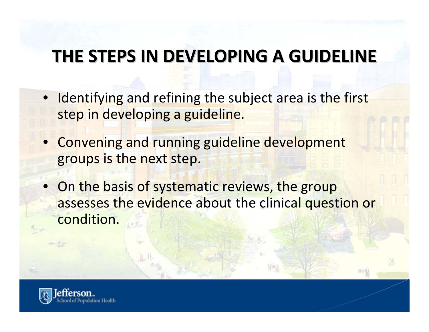### **THE STEPS IN DEVELOPING DEVELOPING A GUIDELINE GUIDELINE**

- Identifying and refining the subject area is the first step in developing <sup>a</sup> guideline.
- Convening and running guideline development groups is the next step.
- On the basis of systematic reviews, the group assesses the evidence about the clinical question or condition.

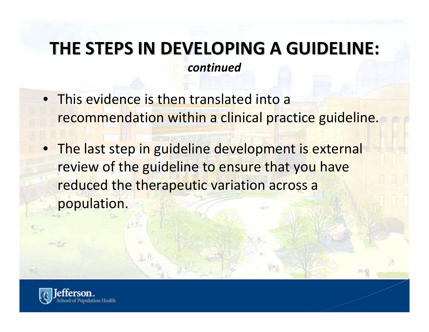### **THE STEPS IN DEVELOPING DEVELOPING A GUIDELINE: GUIDELINE:** *continued*

- This evidence is then translated into a recommendation within <sup>a</sup> clinical practice guideline.
- **The last step in guideline development is external** review of the guideline to ensure that you have reduced the therapeutic variation across <sup>a</sup> population.

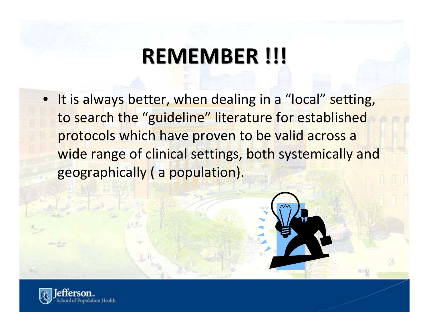## **REMEMBER REMEMBER !!!**

• It is always better, when dealing in <sup>a</sup> "local" setting, to search the "guideline" literature for established protocols which have proven to be valid across <sup>a</sup> wide range of clinical settings, both systemically and geographically ( <sup>a</sup> population).

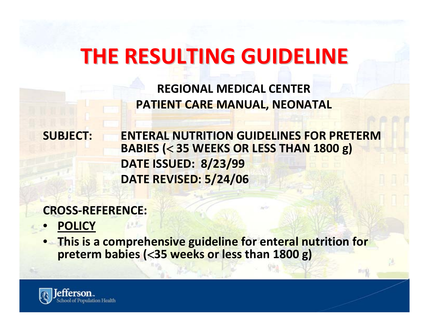### **THE RESULTING RESULTING GUIDELINE GUIDELINE**

**REGIONAL MEDICAL CENTER PATIENT CARE MANUAL, NEONATAL**

**SUBJECT: ENTERAL NUTRITION GUIDELINES FOR PRETERMBABIES (**<sup>&</sup>lt; **35 WEEKS OR LESS THAN 1800 g) DATE ISSUED: 8/23/99 DATE REVISED: 5/24/06**

**CROSS‐REFERENCE:**

- **POLICY**
- **This is a comprehensive guideline for enteral nutrition for preterm babies (**<**35 weeks or less than 1800 g)**

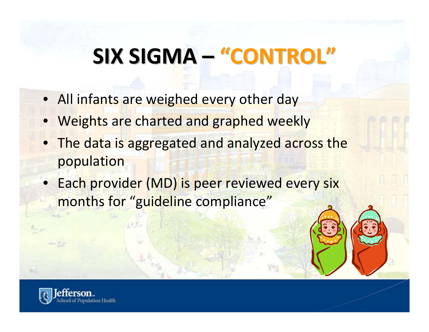# **SIX SIGMA – "CONTROL CONTROL"**

- All infants are weighed every other day
- Weights are charted and graphed weekly
- The data is aggregated and analyzed across the population
- Each provider (MD) is peer reviewed every six months for "guideline compliance"

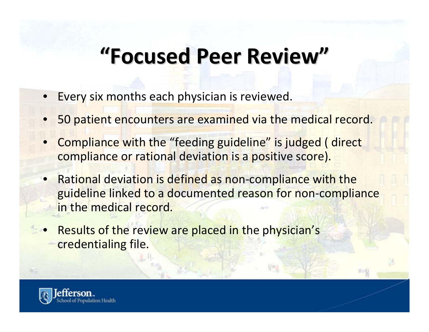## **"Focused Focused Peer Review"**

- Every six months each physician is reviewed.
- 50 patient encounters are examined via the medical record.
- Compliance with the "feeding guideline" is judged ( direct compliance or rational deviation is <sup>a</sup> positive score).
- Rational deviation is defined as non‐compliance with the guideline linked to <sup>a</sup> documented reason for non‐compliance in the medical record.
- Results of the review are placed in the physician's credentialing file.

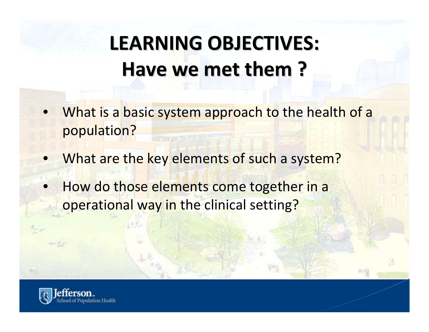# **LEARNING LEARNING OBJECTIVES: OBJECTIVES: Have we met them ?**

- What is a basic system approach to the health of <sup>a</sup> population?
- What are the key elements of such <sup>a</sup> system?
- How do those elements come together in <sup>a</sup> operational way in the clinical setting?